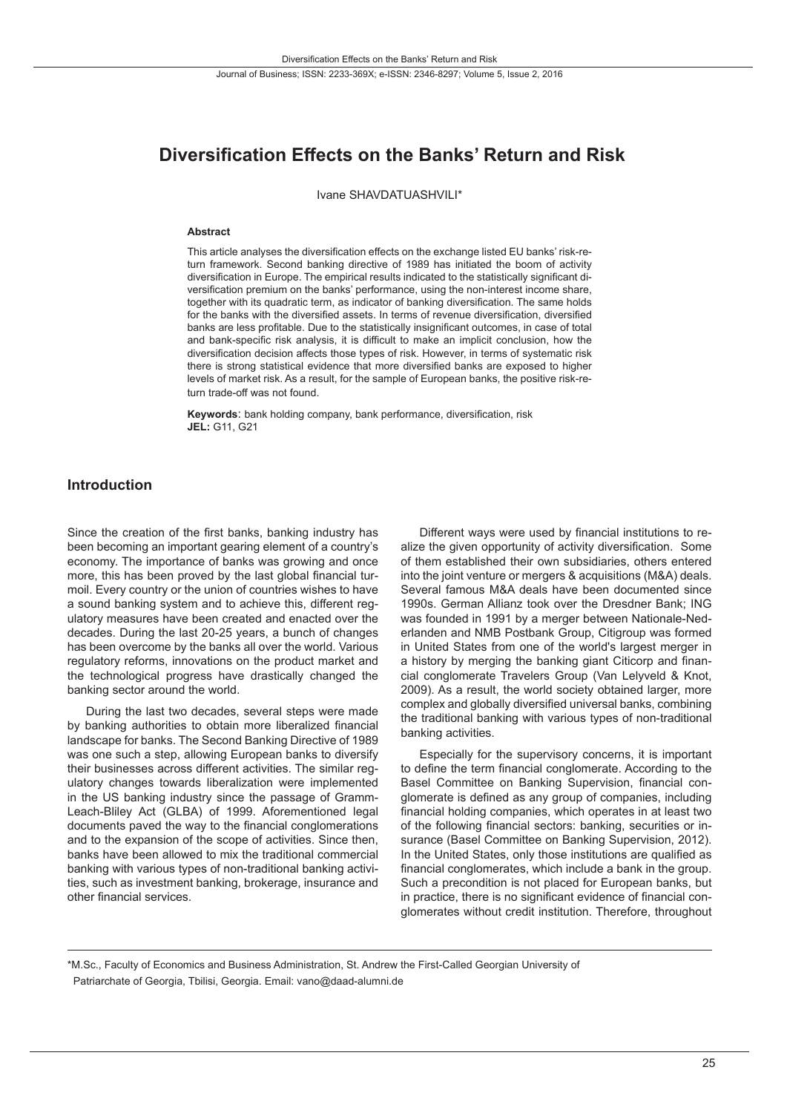# **Diversification Effects on the Banks' Return and Risk**

Ivane SHAVDATUASHVILI\*

#### **Abstract**

This article analyses the diversification effects on the exchange listed EU banks' risk-return framework. Second banking directive of 1989 has initiated the boom of activity diversification in Europe. The empirical results indicated to the statistically significant diversification premium on the banks' performance, using the non-interest income share, together with its quadratic term, as indicator of banking diversification. The same holds for the banks with the diversified assets. In terms of revenue diversification, diversified banks are less profitable. Due to the statistically insignificant outcomes, in case of total and bank-specific risk analysis, it is difficult to make an implicit conclusion, how the diversification decision affects those types of risk. However, in terms of systematic risk there is strong statistical evidence that more diversified banks are exposed to higher levels of market risk. As a result, for the sample of European banks, the positive risk-return trade-off was not found.

**Keywords**: bank holding company, bank performance, diversification, risk **JEL:** G11, G21

#### **Introduction**

Since the creation of the first banks, banking industry has been becoming an important gearing element of a country's economy. The importance of banks was growing and once more, this has been proved by the last global financial turmoil. Every country or the union of countries wishes to have a sound banking system and to achieve this, different regulatory measures have been created and enacted over the decades. During the last 20-25 years, a bunch of changes has been overcome by the banks all over the world. Various regulatory reforms, innovations on the product market and the technological progress have drastically changed the banking sector around the world.

During the last two decades, several steps were made by banking authorities to obtain more liberalized financial landscape for banks. The Second Banking Directive of 1989 was one such a step, allowing European banks to diversify their businesses across different activities. The similar regulatory changes towards liberalization were implemented in the US banking industry since the passage of Gramm-Leach-Bliley Act (GLBA) of 1999. Aforementioned legal documents paved the way to the financial conglomerations and to the expansion of the scope of activities. Since then, banks have been allowed to mix the traditional commercial banking with various types of non-traditional banking activities, such as investment banking, brokerage, insurance and other financial services.

Different ways were used by financial institutions to realize the given opportunity of activity diversification. Some of them established their own subsidiaries, others entered into the joint venture or mergers & acquisitions (M&A) deals. Several famous M&A deals have been documented since 1990s. German Allianz took over the Dresdner Bank; ING was founded in 1991 by a merger between Nationale-Nederlanden and NMB Postbank Group, Citigroup was formed in United States from one of the world's largest merger in a history by merging the banking giant Citicorp and financial conglomerate Travelers Group (Van Lelyveld & Knot, 2009). As a result, the world society obtained larger, more complex and globally diversified universal banks, combining the traditional banking with various types of non-traditional banking activities.

Especially for the supervisory concerns, it is important to define the term financial conglomerate. According to the Basel Committee on Banking Supervision, financial conglomerate is defined as any group of companies, including financial holding companies, which operates in at least two of the following financial sectors: banking, securities or insurance (Basel Committee on Banking Supervision, 2012). In the United States, only those institutions are qualified as financial conglomerates, which include a bank in the group. Such a precondition is not placed for European banks, but in practice, there is no significant evidence of financial conglomerates without credit institution. Therefore, throughout

\*M.Sc., Faculty of Economics and Business Administration, St. Andrew the First-Called Georgian University of Patriarchate of Georgia, Tbilisi, Georgia. Email: vano@daad-alumni.de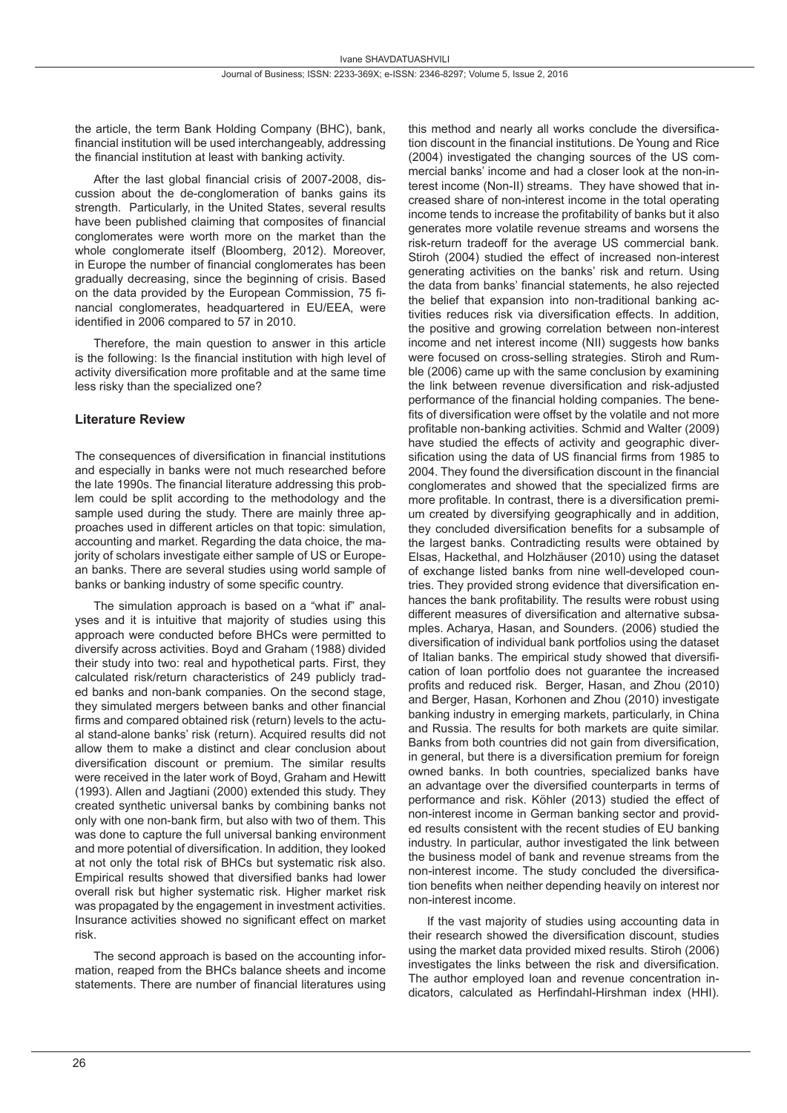the article, the term Bank Holding Company (BHC), bank, financial institution will be used interchangeably, addressing the financial institution at least with banking activity.

After the last global financial crisis of 2007-2008, discussion about the de-conglomeration of banks gains its strength. Particularly, in the United States, several results have been published claiming that composites of financial conglomerates were worth more on the market than the whole conglomerate itself (Bloomberg, 2012). Moreover, in Europe the number of financial conglomerates has been gradually decreasing, since the beginning of crisis. Based on the data provided by the European Commission, 75 financial conglomerates, headquartered in EU/EEA, were identified in 2006 compared to 57 in 2010.

Therefore, the main question to answer in this article is the following: Is the financial institution with high level of activity diversification more profitable and at the same time less risky than the specialized one?

#### **Literature Review**

The consequences of diversification in financial institutions and especially in banks were not much researched before the late 1990s. The financial literature addressing this problem could be split according to the methodology and the sample used during the study. There are mainly three approaches used in different articles on that topic: simulation, accounting and market. Regarding the data choice, the majority of scholars investigate either sample of US or European banks. There are several studies using world sample of banks or banking industry of some specific country.

The simulation approach is based on a "what if" analyses and it is intuitive that majority of studies using this approach were conducted before BHCs were permitted to diversify across activities. Boyd and Graham (1988) divided their study into two: real and hypothetical parts. First, they calculated risk/return characteristics of 249 publicly traded banks and non-bank companies. On the second stage, they simulated mergers between banks and other financial firms and compared obtained risk (return) levels to the actual stand-alone banks' risk (return). Acquired results did not allow them to make a distinct and clear conclusion about diversification discount or premium. The similar results were received in the later work of Boyd, Graham and Hewitt (1993). Allen and Jagtiani (2000) extended this study. They created synthetic universal banks by combining banks not only with one non-bank firm, but also with two of them. This was done to capture the full universal banking environment and more potential of diversification. In addition, they looked at not only the total risk of BHCs but systematic risk also. Empirical results showed that diversified banks had lower overall risk but higher systematic risk. Higher market risk was propagated by the engagement in investment activities. Insurance activities showed no significant effect on market risk.

The second approach is based on the accounting information, reaped from the BHCs balance sheets and income statements. There are number of financial literatures using this method and nearly all works conclude the diversification discount in the financial institutions. De Young and Rice (2004) investigated the changing sources of the US commercial banks' income and had a closer look at the non-interest income (Non-II) streams. They have showed that increased share of non-interest income in the total operating income tends to increase the profitability of banks but it also generates more volatile revenue streams and worsens the risk-return tradeoff for the average US commercial bank. Stiroh (2004) studied the effect of increased non-interest generating activities on the banks' risk and return. Using the data from banks' financial statements, he also rejected the belief that expansion into non-traditional banking activities reduces risk via diversification effects. In addition, the positive and growing correlation between non-interest income and net interest income (NII) suggests how banks were focused on cross-selling strategies. Stiroh and Rumble (2006) came up with the same conclusion by examining the link between revenue diversification and risk-adjusted performance of the financial holding companies. The benefits of diversification were offset by the volatile and not more profitable non-banking activities. Schmid and Walter (2009) have studied the effects of activity and geographic diversification using the data of US financial firms from 1985 to 2004. They found the diversification discount in the financial conglomerates and showed that the specialized firms are more profitable. In contrast, there is a diversification premium created by diversifying geographically and in addition, they concluded diversification benefits for a subsample of the largest banks. Contradicting results were obtained by Elsas, Hackethal, and Holzhäuser (2010) using the dataset of exchange listed banks from nine well-developed countries. They provided strong evidence that diversification enhances the bank profitability. The results were robust using different measures of diversification and alternative subsamples. Acharya, Hasan, and Sounders. (2006) studied the diversification of individual bank portfolios using the dataset of Italian banks. The empirical study showed that diversification of loan portfolio does not guarantee the increased profits and reduced risk. Berger, Hasan, and Zhou (2010) and Berger, Hasan, Korhonen and Zhou (2010) investigate banking industry in emerging markets, particularly, in China and Russia. The results for both markets are quite similar. Banks from both countries did not gain from diversification, in general, but there is a diversification premium for foreign owned banks. In both countries, specialized banks have an advantage over the diversified counterparts in terms of performance and risk. Köhler (2013) studied the effect of non-interest income in German banking sector and provided results consistent with the recent studies of EU banking industry. In particular, author investigated the link between the business model of bank and revenue streams from the non-interest income. The study concluded the diversification benefits when neither depending heavily on interest nor non-interest income.

If the vast majority of studies using accounting data in their research showed the diversification discount, studies using the market data provided mixed results. Stiroh (2006) investigates the links between the risk and diversification. The author employed loan and revenue concentration indicators, calculated as Herfindahl-Hirshman index (HHI).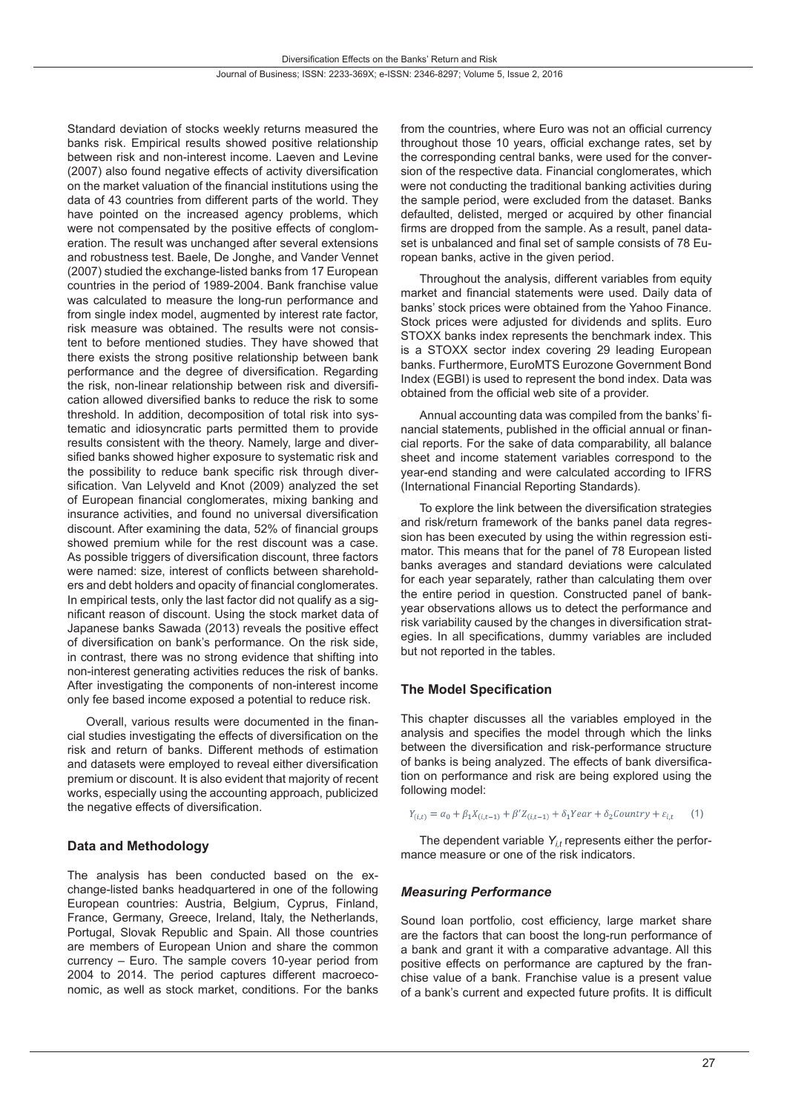Standard deviation of stocks weekly returns measured the banks risk. Empirical results showed positive relationship between risk and non-interest income. Laeven and Levine (2007) also found negative effects of activity diversification on the market valuation of the financial institutions using the data of 43 countries from different parts of the world. They have pointed on the increased agency problems, which were not compensated by the positive effects of conglomeration. The result was unchanged after several extensions and robustness test. Baele, De Jonghe, and Vander Vennet (2007) studied the exchange-listed banks from 17 European countries in the period of 1989-2004. Bank franchise value was calculated to measure the long-run performance and from single index model, augmented by interest rate factor, risk measure was obtained. The results were not consistent to before mentioned studies. They have showed that there exists the strong positive relationship between bank performance and the degree of diversification. Regarding the risk, non-linear relationship between risk and diversification allowed diversified banks to reduce the risk to some threshold. In addition, decomposition of total risk into systematic and idiosyncratic parts permitted them to provide results consistent with the theory. Namely, large and diversified banks showed higher exposure to systematic risk and the possibility to reduce bank specific risk through diversification. Van Lelyveld and Knot (2009) analyzed the set of European financial conglomerates, mixing banking and insurance activities, and found no universal diversification discount. After examining the data, 52% of financial groups showed premium while for the rest discount was a case. As possible triggers of diversification discount, three factors were named: size, interest of conflicts between shareholders and debt holders and opacity of financial conglomerates. In empirical tests, only the last factor did not qualify as a significant reason of discount. Using the stock market data of Japanese banks Sawada (2013) reveals the positive effect of diversification on bank's performance. On the risk side, in contrast, there was no strong evidence that shifting into non-interest generating activities reduces the risk of banks. After investigating the components of non-interest income only fee based income exposed a potential to reduce risk.

Overall, various results were documented in the financial studies investigating the effects of diversification on the risk and return of banks. Different methods of estimation and datasets were employed to reveal either diversification premium or discount. It is also evident that majority of recent works, especially using the accounting approach, publicized the negative effects of diversification.

# **Data and Methodology**

The analysis has been conducted based on the exchange-listed banks headquartered in one of the following European countries: Austria, Belgium, Cyprus, Finland, France, Germany, Greece, Ireland, Italy, the Netherlands, Portugal, Slovak Republic and Spain. All those countries are members of European Union and share the common currency – Euro. The sample covers 10-year period from 2004 to 2014. The period captures different macroeconomic, as well as stock market, conditions. For the banks

from the countries, where Euro was not an official currency throughout those 10 years, official exchange rates, set by the corresponding central banks, were used for the conversion of the respective data. Financial conglomerates, which were not conducting the traditional banking activities during the sample period, were excluded from the dataset. Banks defaulted, delisted, merged or acquired by other financial firms are dropped from the sample. As a result, panel dataset is unbalanced and final set of sample consists of 78 European banks, active in the given period.

Throughout the analysis, different variables from equity market and financial statements were used. Daily data of banks' stock prices were obtained from the Yahoo Finance. Stock prices were adjusted for dividends and splits. Euro STOXX banks index represents the benchmark index. This is a STOXX sector index covering 29 leading European banks. Furthermore, EuroMTS Eurozone Government Bond Index (EGBI) is used to represent the bond index. Data was obtained from the official web site of a provider.

Annual accounting data was compiled from the banks' financial statements, published in the official annual or financial reports. For the sake of data comparability, all balance sheet and income statement variables correspond to the year-end standing and were calculated according to IFRS (International Financial Reporting Standards).

To explore the link between the diversification strategies and risk/return framework of the banks panel data regression has been executed by using the within regression estimator. This means that for the panel of 78 European listed banks averages and standard deviations were calculated for each year separately, rather than calculating them over the entire period in question. Constructed panel of bankyear observations allows us to detect the performance and risk variability caused by the changes in diversification strategies. In all specifications, dummy variables are included but not reported in the tables.

# **The Model Specification**

This chapter discusses all the variables employed in the analysis and specifies the model through which the links between the diversification and risk-performance structure of banks is being analyzed. The effects of bank diversification on performance and risk are being explored using the following model:

$$
Y_{(i,t)} = \alpha_0 + \beta_1 X_{(i,t-1)} + \beta' Z_{(i,t-1)} + \delta_1 Year + \delta_2 Country + \varepsilon_{i,t}
$$
 (1)

The dependent variable Y<sub>it</sub> represents either the performance measure or one of the risk indicators.

# *Measuring Performance*

Sound loan portfolio, cost efficiency, large market share are the factors that can boost the long-run performance of a bank and grant it with a comparative advantage. All this positive effects on performance are captured by the franchise value of a bank. Franchise value is a present value of a bank's current and expected future profits. It is difficult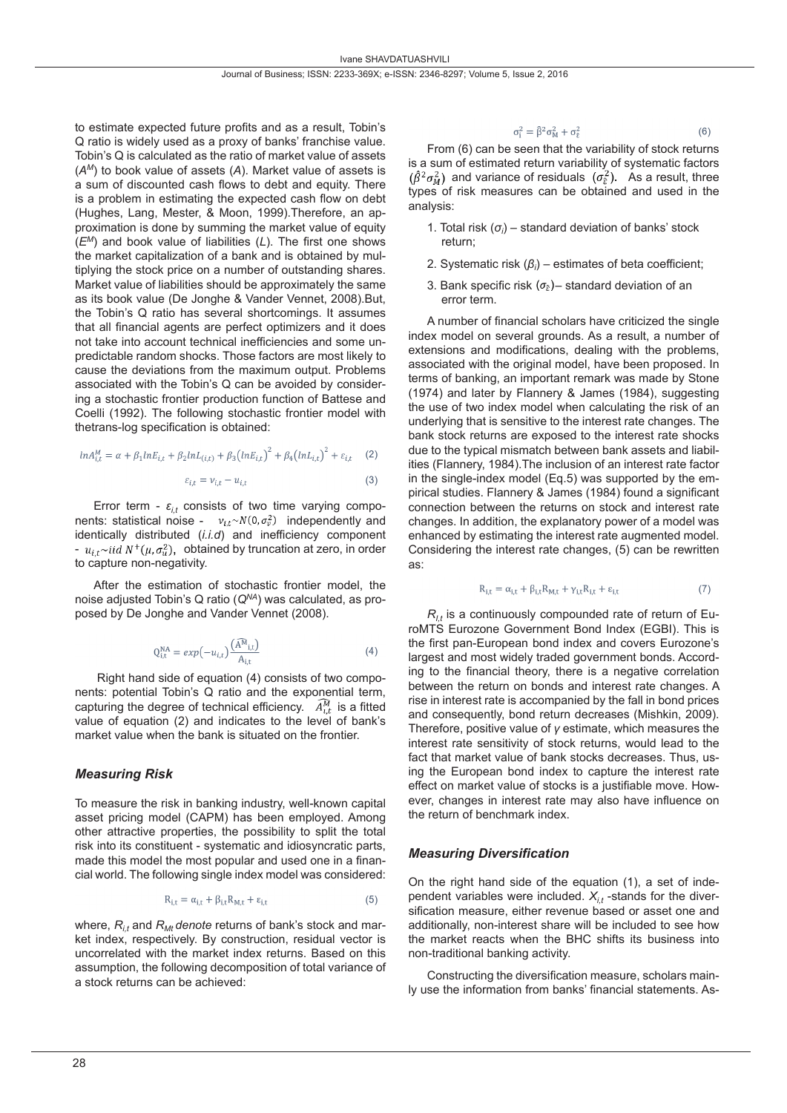to estimate expected future profits and as a result, Tobin's Q ratio is widely used as a proxy of banks' franchise value. Tobin's Q is calculated as the ratio of market value of assets (*AM*) to book value of assets (*A*). Market value of assets is a sum of discounted cash flows to debt and equity. There is a problem in estimating the expected cash flow on debt (Hughes, Lang, Mester, & Moon, 1999).Therefore, an approximation is done by summing the market value of equity (*EM*) and book value of liabilities (*L*). The first one shows the market capitalization of a bank and is obtained by multiplying the stock price on a number of outstanding shares. Market value of liabilities should be approximately the same as its book value (De Jonghe & Vander Vennet, 2008).But, the Tobin's Q ratio has several shortcomings. It assumes that all financial agents are perfect optimizers and it does not take into account technical inefficiencies and some unpredictable random shocks. Those factors are most likely to cause the deviations from the maximum output. Problems associated with the Tobin's Q can be avoided by considering a stochastic frontier production function of Battese and Coelli (1992). The following stochastic frontier model with thetrans-log specification is obtained:

$$
ln A_{i,t}^{M} = \alpha + \beta_1 ln E_{i,t} + \beta_2 ln L_{(i,t)} + \beta_3 (ln E_{i,t})^2 + \beta_4 (ln L_{i,t})^2 + \varepsilon_{i,t} \quad (2)
$$

$$
\varepsilon_{i,t} = \nu_{i,t} - u_{i,t} \tag{3}
$$

Error term -  $\varepsilon_{i,t}$  consists of two time varying components: statistical noise -  $v_{i,t} \sim N(0, \sigma_v^2)$  independently and identically distributed (*i.i.d*) and inefficiency component -  $u_{it}$ ~*iid*  $N^+(\mu, \sigma_u^2)$ , obtained by truncation at zero, in order to capture non-negativity.

After the estimation of stochastic frontier model, the noise adjusted Tobin's Q ratio (*QNA*) was calculated, as proposed by De Jonghe and Vander Vennet (2008).

$$
Q_{i,t}^{NA} = exp(-u_{i,t}) \frac{(\widehat{A}^{N}_{i,t})}{A_{i,t}}
$$
\n(4)

 Right hand side of equation (4) consists of two components: potential Tobin's Q ratio and the exponential term, capturing the degree of technical efficiency.  $A_{tt}^{M}$  is a fitted value of equation (2) and indicates to the level of bank's market value when the bank is situated on the frontier.

# *Measuring Risk*

To measure the risk in banking industry, well-known capital asset pricing model (CAPM) has been employed. Among other attractive properties, the possibility to split the total risk into its constituent - systematic and idiosyncratic parts, made this model the most popular and used one in a financial world. The following single index model was considered:

$$
R_{i,t} = \alpha_{i,t} + \beta_{i,t} R_{M,t} + \varepsilon_{i,t}
$$
 (5)

where,  $R_{it}$  and  $R_{Mt}$  denote returns of bank's stock and market index, respectively. By construction, residual vector is uncorrelated with the market index returns. Based on this assumption, the following decomposition of total variance of a stock returns can be achieved:

$$
\sigma_i^2 = \hat{\beta}^2 \sigma_M^2 + \sigma_{\hat{\epsilon}}^2 \tag{6}
$$

From (6) can be seen that the variability of stock returns is a sum of estimated return variability of systematic factors  $(\hat{\beta}^2 \sigma_M^2)$  and variance of residuals  $(\sigma_{\hat{\epsilon}}^2)$ . As a result, three types of risk measures can be obtained and used in the analysis:

- 1. Total risk  $(\sigma_i)$  standard deviation of banks' stock return;
- 2. Systematic risk (*β<sup>i</sup>* ) estimates of beta coefficient;
- 3. Bank specific risk  $(\sigma_{\hat{\epsilon}})$  standard deviation of an error term.

A number of financial scholars have criticized the single index model on several grounds. As a result, a number of extensions and modifications, dealing with the problems, associated with the original model, have been proposed. In terms of banking, an important remark was made by Stone (1974) and later by Flannery & James (1984), suggesting the use of two index model when calculating the risk of an underlying that is sensitive to the interest rate changes. The bank stock returns are exposed to the interest rate shocks due to the typical mismatch between bank assets and liabilities (Flannery, 1984).The inclusion of an interest rate factor in the single-index model (Eq.5) was supported by the empirical studies. Flannery & James (1984) found a significant connection between the returns on stock and interest rate changes. In addition, the explanatory power of a model was enhanced by estimating the interest rate augmented model. Considering the interest rate changes, (5) can be rewritten as:

$$
R_{i,t} = \alpha_{i,t} + \beta_{i,t} R_{M,t} + \gamma_{i,t} R_{i,t} + \varepsilon_{i,t}
$$
 (7)

 $R_{1t}$  is a continuously compounded rate of return of EuroMTS Eurozone Government Bond Index (EGBI). This is the first pan-European bond index and covers Eurozone's largest and most widely traded government bonds. According to the financial theory, there is a negative correlation between the return on bonds and interest rate changes. A rise in interest rate is accompanied by the fall in bond prices and consequently, bond return decreases (Mishkin, 2009). Therefore, positive value of *γ* estimate, which measures the interest rate sensitivity of stock returns, would lead to the fact that market value of bank stocks decreases. Thus, using the European bond index to capture the interest rate effect on market value of stocks is a justifiable move. However, changes in interest rate may also have influence on the return of benchmark index.

# *Measuring Diversification*

On the right hand side of the equation (1), a set of independent variables were included.  $X_{i,t}$  -stands for the diversification measure, either revenue based or asset one and additionally, non-interest share will be included to see how the market reacts when the BHC shifts its business into non-traditional banking activity.

Constructing the diversification measure, scholars mainly use the information from banks' financial statements. As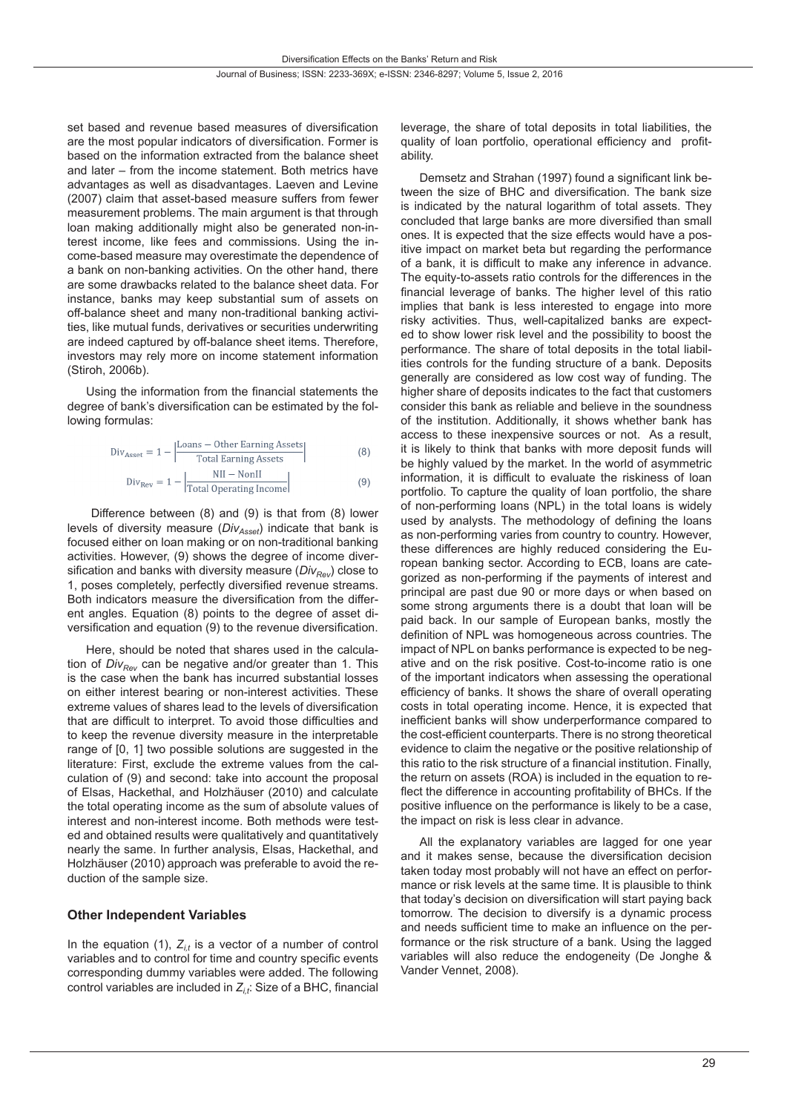Journal of Business; ISSN: 2233-369X; e-ISSN: 2346-8297; Volume 5, Issue 2, 2016

set based and revenue based measures of diversification are the most popular indicators of diversification. Former is based on the information extracted from the balance sheet and later – from the income statement. Both metrics have advantages as well as disadvantages. Laeven and Levine (2007) claim that asset-based measure suffers from fewer measurement problems. The main argument is that through loan making additionally might also be generated non-interest income, like fees and commissions. Using the income-based measure may overestimate the dependence of a bank on non-banking activities. On the other hand, there are some drawbacks related to the balance sheet data. For instance, banks may keep substantial sum of assets on off-balance sheet and many non-traditional banking activities, like mutual funds, derivatives or securities underwriting are indeed captured by off-balance sheet items. Therefore, investors may rely more on income statement information (Stiroh, 2006b).

Using the information from the financial statements the degree of bank's diversification can be estimated by the following formulas:

Div<sub>Asset</sub> = 1 - 
$$
\left| \frac{\text{Loans} - \text{Other Earning Assets}}{\text{Total Earning Assets}} \right|
$$
 (8)  
\nDiv<sub>Rev</sub> = 1 -  $\left| \frac{\text{NII} - \text{NonII}}{\text{Total Operating Income}} \right|$  (9)

 Difference between (8) and (9) is that from (8) lower levels of diversity measure (*Div<sub>Asset</sub>*) indicate that bank is focused either on loan making or on non-traditional banking activities. However, (9) shows the degree of income diversification and banks with diversity measure (*Div<sub>Rev</sub>*) close to 1, poses completely, perfectly diversified revenue streams. Both indicators measure the diversification from the different angles. Equation (8) points to the degree of asset diversification and equation (9) to the revenue diversification.

Here, should be noted that shares used in the calculation of *Div<sub>Rev</sub>* can be negative and/or greater than 1. This is the case when the bank has incurred substantial losses on either interest bearing or non-interest activities. These extreme values of shares lead to the levels of diversification that are difficult to interpret. To avoid those difficulties and to keep the revenue diversity measure in the interpretable range of [0, 1] two possible solutions are suggested in the literature: First, exclude the extreme values from the calculation of (9) and second: take into account the proposal of Elsas, Hackethal, and Holzhäuser (2010) and calculate the total operating income as the sum of absolute values of interest and non-interest income. Both methods were tested and obtained results were qualitatively and quantitatively nearly the same. In further analysis, Elsas, Hackethal, and Holzhäuser (2010) approach was preferable to avoid the reduction of the sample size.

#### **Other Independent Variables**

In the equation  $(1)$ ,  $Z_{it}$  is a vector of a number of control variables and to control for time and country specific events corresponding dummy variables were added. The following control variables are included in *Zi,t*: Size of a BHC, financial leverage, the share of total deposits in total liabilities, the quality of loan portfolio, operational efficiency and profitability.

Demsetz and Strahan (1997) found a significant link between the size of BHC and diversification. The bank size is indicated by the natural logarithm of total assets. They concluded that large banks are more diversified than small ones. It is expected that the size effects would have a positive impact on market beta but regarding the performance of a bank, it is difficult to make any inference in advance. The equity-to-assets ratio controls for the differences in the financial leverage of banks. The higher level of this ratio implies that bank is less interested to engage into more risky activities. Thus, well-capitalized banks are expected to show lower risk level and the possibility to boost the performance. The share of total deposits in the total liabilities controls for the funding structure of a bank. Deposits generally are considered as low cost way of funding. The higher share of deposits indicates to the fact that customers consider this bank as reliable and believe in the soundness of the institution. Additionally, it shows whether bank has access to these inexpensive sources or not. As a result, it is likely to think that banks with more deposit funds will be highly valued by the market. In the world of asymmetric information, it is difficult to evaluate the riskiness of loan portfolio. To capture the quality of loan portfolio, the share of non-performing loans (NPL) in the total loans is widely used by analysts. The methodology of defining the loans as non-performing varies from country to country. However, these differences are highly reduced considering the European banking sector. According to ECB, loans are categorized as non-performing if the payments of interest and principal are past due 90 or more days or when based on some strong arguments there is a doubt that loan will be paid back. In our sample of European banks, mostly the definition of NPL was homogeneous across countries. The impact of NPL on banks performance is expected to be negative and on the risk positive. Cost-to-income ratio is one of the important indicators when assessing the operational efficiency of banks. It shows the share of overall operating costs in total operating income. Hence, it is expected that inefficient banks will show underperformance compared to the cost-efficient counterparts. There is no strong theoretical evidence to claim the negative or the positive relationship of this ratio to the risk structure of a financial institution. Finally, the return on assets (ROA) is included in the equation to reflect the difference in accounting profitability of BHCs. If the positive influence on the performance is likely to be a case, the impact on risk is less clear in advance.

All the explanatory variables are lagged for one year and it makes sense, because the diversification decision taken today most probably will not have an effect on performance or risk levels at the same time. It is plausible to think that today's decision on diversification will start paying back tomorrow. The decision to diversify is a dynamic process and needs sufficient time to make an influence on the performance or the risk structure of a bank. Using the lagged variables will also reduce the endogeneity (De Jonghe & Vander Vennet, 2008).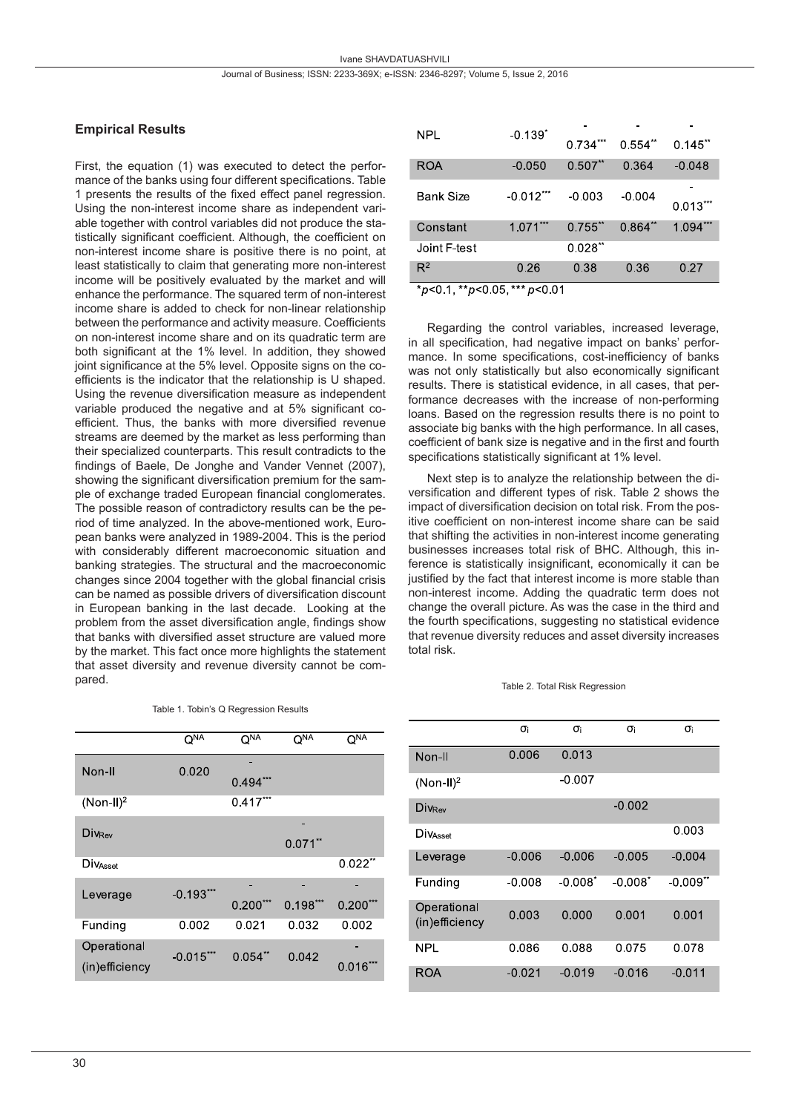#### **Empirical Results**

First, the equation (1) was executed to detect the performance of the banks using four different specifications. Table 1 presents the results of the fixed effect panel regression. Using the non-interest income share as independent variable together with control variables did not produce the statistically significant coefficient. Although, the coefficient on non-interest income share is positive there is no point, at least statistically to claim that generating more non-interest income will be positively evaluated by the market and will enhance the performance. The squared term of non-interest income share is added to check for non-linear relationship between the performance and activity measure. Coefficients on non-interest income share and on its quadratic term are both significant at the 1% level. In addition, they showed joint significance at the 5% level. Opposite signs on the coefficients is the indicator that the relationship is U shaped. Using the revenue diversification measure as independent variable produced the negative and at 5% significant coefficient. Thus, the banks with more diversified revenue streams are deemed by the market as less performing than their specialized counterparts. This result contradicts to the findings of Baele, De Jonghe and Vander Vennet (2007), showing the significant diversification premium for the sample of exchange traded European financial conglomerates. The possible reason of contradictory results can be the period of time analyzed. In the above-mentioned work, European banks were analyzed in 1989-2004. This is the period with considerably different macroeconomic situation and banking strategies. The structural and the macroeconomic changes since 2004 together with the global financial crisis can be named as possible drivers of diversification discount in European banking in the last decade. Looking at the problem from the asset diversification angle, findings show that banks with diversified asset structure are valued more by the market. This fact once more highlights the statement that asset diversity and revenue diversity cannot be compared.

Table 1. Tobin's Q Regression Results

|                         | Q <sub>NA</sub> | $\overline{O}_{\text{NY}}$ | Q <sub>NA</sub> | O <sup>NΑ</sup>       |
|-------------------------|-----------------|----------------------------|-----------------|-----------------------|
| Non-II                  | 0.020           | 0.494                      |                 |                       |
| $(Non-II)2$             |                 | $0.417***$                 |                 |                       |
| Divrey                  |                 |                            |                 |                       |
|                         |                 |                            | $0.071$ **      |                       |
| Div <sub>Asset</sub>    |                 |                            |                 | $0.022$ <sup>**</sup> |
| $-0.193***$<br>Leverage |                 |                            |                 |                       |
|                         |                 | $0.200***$                 | $0.198***$      | $0.200***$            |
| Funding                 | 0.002           | 0.021                      | 0.032           | 0.002                 |
| Operational             | $-0.015***$     | $0.054**$                  | 0.042           |                       |
| (in)efficiency          |                 |                            |                 | 0.016                 |

| <b>NPL</b>       | $-0.139$ <sup>*</sup> | 0.734***   | 0.554"    | $0.145$ <sup>**</sup> |
|------------------|-----------------------|------------|-----------|-----------------------|
| <b>ROA</b>       | $-0.050$              | $0.507**$  | 0.364     | $-0.048$              |
| <b>Bank Size</b> | $-0.012***$           | $-0.003$   | $-0.004$  | $0.013***$            |
| Constant         | $1.071***$            | $0.755$ ** | $0.864**$ | 1.094***              |
| Joint F-test     |                       | $0.028**$  |           |                       |
| $R^2$            | 0.26                  | 0.38       | 0.36      | 0.27                  |

 $*_{p<0}$  1,  $*_{p<0}$  05,  $*_{p<0}$  01

Regarding the control variables, increased leverage, in all specification, had negative impact on banks' performance. In some specifications, cost-inefficiency of banks was not only statistically but also economically significant results. There is statistical evidence, in all cases, that performance decreases with the increase of non-performing loans. Based on the regression results there is no point to associate big banks with the high performance. In all cases, coefficient of bank size is negative and in the first and fourth specifications statistically significant at 1% level.

Next step is to analyze the relationship between the diversification and different types of risk. Table 2 shows the impact of diversification decision on total risk. From the positive coefficient on non-interest income share can be said that shifting the activities in non-interest income generating businesses increases total risk of BHC. Although, this inference is statistically insignificant, economically it can be justified by the fact that interest income is more stable than non-interest income. Adding the quadratic term does not change the overall picture. As was the case in the third and the fourth specifications, suggesting no statistical evidence that revenue diversity reduces and asset diversity increases total risk.

|  |  | Table 2. Total Risk Regression |  |
|--|--|--------------------------------|--|

|                               | σi       | σi       | σi         | σi                     |
|-------------------------------|----------|----------|------------|------------------------|
| Non-II                        | 0.006    | 0.013    |            |                        |
| $(Non-II)2$                   |          | $-0.007$ |            |                        |
| DivRey                        |          |          | $-0.002$   |                        |
| DivAsset                      |          |          |            | 0.003                  |
| Leverage                      | $-0.006$ | $-0.006$ | $-0.005$   | $-0.004$               |
| Funding                       | $-0.008$ | $-0.008$ | $-0.008^*$ | $-0.009$ <sup>**</sup> |
| Operational<br>(in)efficiency | 0.003    | 0.000    | 0.001      | 0.001                  |
| <b>NPL</b>                    | 0.086    | 0.088    | 0.075      | 0.078                  |
| ROA                           | $-0.021$ | $-0.019$ | $-0.016$   | $-0.011$               |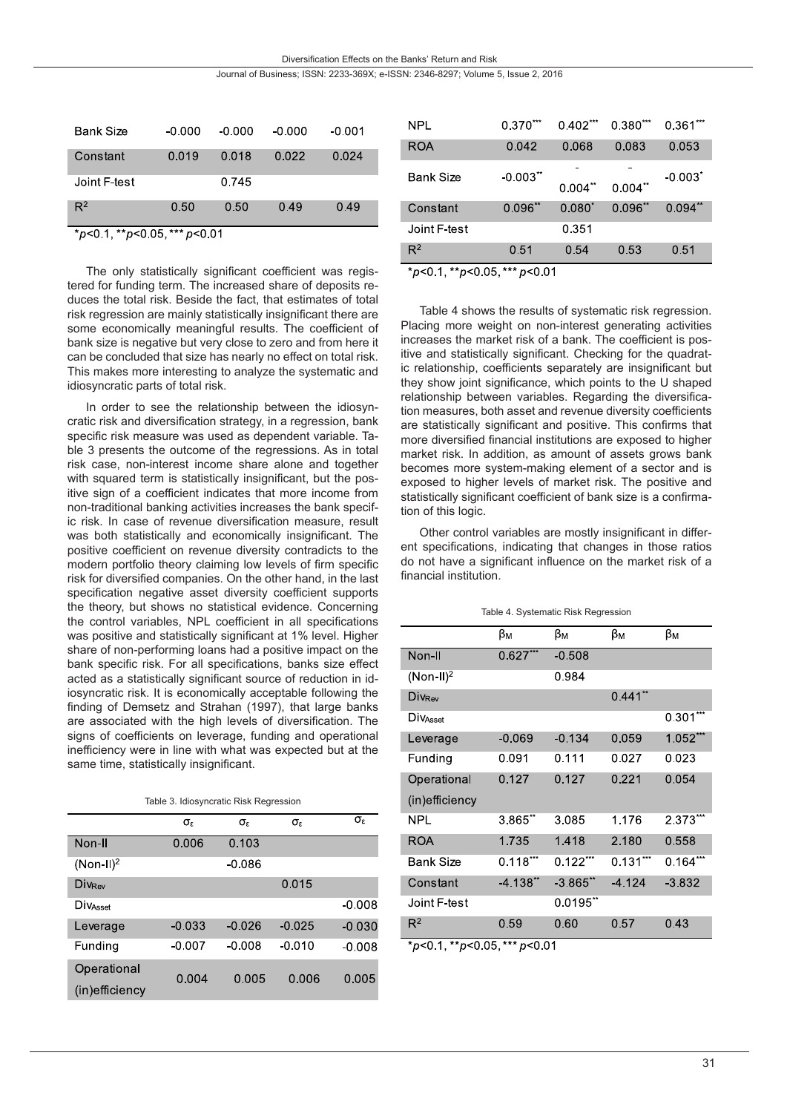Diversification Effects on the Banks' Return and Risk

Journal of Business; ISSN: 2233-369X; e-ISSN: 2346-8297; Volume 5, Issue 2, 2016

| Bank Size    | $-0.000$ | $-0.000$ | $-0.000$ | $-0.001$ |
|--------------|----------|----------|----------|----------|
| Constant     | 0.019    | 0.018    | 0.022    | 0.024    |
| Joint F-test |          | 0.745    |          |          |
| $R^2$        | 0.50     | 0.50     | 0.49     | 0.49     |
| .            |          |          |          |          |

p<0.1, \*\*p<0.05, \* .0 0 0 0 1

The only statistically significant coefficient was registered for funding term. The increased share of deposits reduces the total risk. Beside the fact, that estimates of total risk regression are mainly statistically insignificant there are some economically meaningful results. The coefficient of bank size is negative but very close to zero and from here it can be concluded that size has nearly no effect on total risk. This makes more interesting to analyze the systematic and idiosyncratic parts of total risk.

In order to see the relationship between the idiosyncratic risk and diversification strategy, in a regression, bank specific risk measure was used as dependent variable. Table 3 presents the outcome of the regressions. As in total risk case, non-interest income share alone and together with squared term is statistically insignificant, but the positive sign of a coefficient indicates that more income from non-traditional banking activities increases the bank specific risk. In case of revenue diversification measure, result was both statistically and economically insignificant. The positive coefficient on revenue diversity contradicts to the modern portfolio theory claiming low levels of firm specific risk for diversified companies. On the other hand, in the last specification negative asset diversity coefficient supports the theory, but shows no statistical evidence. Concerning the control variables, NPL coefficient in all specifications was positive and statistically significant at 1% level. Higher share of non-performing loans had a positive impact on the bank specific risk. For all specifications, banks size effect acted as a statistically significant source of reduction in idiosyncratic risk. It is economically acceptable following the finding of Demsetz and Strahan (1997), that large banks are associated with the high levels of diversification. The signs of coefficients on leverage, funding and operational inefficiency were in line with what was expected but at the same time, statistically insignificant.

Table 3. Idiosyncratic Risk Regression

|                | $\sigma_{\rm r}$ | σε       | $\sigma_{\rm s}$ | $\sigma_{\epsilon}$ |
|----------------|------------------|----------|------------------|---------------------|
| Non-II         | 0.006            | 0.103    |                  |                     |
| $(Non-II)2$    |                  | $-0.086$ |                  |                     |
| <b>DivRev</b>  |                  |          | 0.015            |                     |
| Divasset       |                  |          |                  | $-0.008$            |
| Leverage       | $-0.033$         | $-0.026$ | $-0.025$         | $-0.030$            |
| Funding        | $-0.007$         | $-0.008$ | $-0.010$         | $-0.008$            |
| Operational    | 0.004            | 0.005    | 0.006            | 0.005               |
| (in)efficiency |                  |          |                  |                     |

| NPL          | 0.370***               | $0.402***$ | $0.380***$ | $0.361***$            |
|--------------|------------------------|------------|------------|-----------------------|
| ROA          | 0.042                  | 0.068      | 0.083      | 0.053                 |
| Bank Size    | $-0.003$ <sup>**</sup> | $0.004**$  | $0.004$ ** | $-0.003$ <sup>*</sup> |
| Constant     | $0.096**$              | $0.080^*$  | $0.096**$  | $0.094**$             |
| Joint F-test |                        | 0.351      |            |                       |
| $R^2$        | 0.51                   | 0.54       | 0.53       | 0.51                  |

 $*_{p<0.1, *p<0.05, **p<0.01}$ 

Table 4 shows the results of systematic risk regression. Placing more weight on non-interest generating activities increases the market risk of a bank. The coefficient is positive and statistically significant. Checking for the quadratic relationship, coefficients separately are insignificant but they show joint significance, which points to the U shaped relationship between variables. Regarding the diversification measures, both asset and revenue diversity coefficients are statistically significant and positive. This confirms that more diversified financial institutions are exposed to higher market risk. In addition, as amount of assets grows bank becomes more system-making element of a sector and is exposed to higher levels of market risk. The positive and statistically significant coefficient of bank size is a confirmation of this logic.

Other control variables are mostly insignificant in different specifications, indicating that changes in those ratios do not have a significant influence on the market risk of a financial institution.

Table 4. Systematic Risk Regression

|                 | βм          | βм                     | βм         | βм         |
|-----------------|-------------|------------------------|------------|------------|
| Non-II          | $0.627***$  | $-0.508$               |            |            |
| $(Non-II)2$     |             | 0.984                  |            |            |
| <b>Divrey</b>   |             |                        | $0.441$ ** |            |
| <b>DiVAsset</b> |             |                        |            | 0.301      |
| Leverage        | $-0.069$    | $-0.134$               | 0.059      | 1.052***   |
| Funding         | 0.091       | 0.111                  | 0.027      | 0.023      |
| Operational     | 0.127       | 0.127                  | 0.221      | 0.054      |
| (in)efficiency  |             |                        |            |            |
| <b>NPL</b>      | 3.865"      | 3085                   | 1.176      | 2 3 7 3    |
| <b>ROA</b>      | 1735        | 1.418                  | 2.180      | 0.558      |
| Bank Size       | $0.118***$  | $0.122***$             | $0.131***$ | $0.164***$ |
| Constant        | $-4.138$ ** | $-3.865$ <sup>**</sup> | $-4.124$   | $-3.832$   |
| Joint F-test    |             | $0.0195$ <sup>**</sup> |            |            |
| $R^2$           | 0.59        | 0.60                   | 0.57       | 0.43       |

\*p<0.1, \*\*p<0.05, \*\*\* p<0.01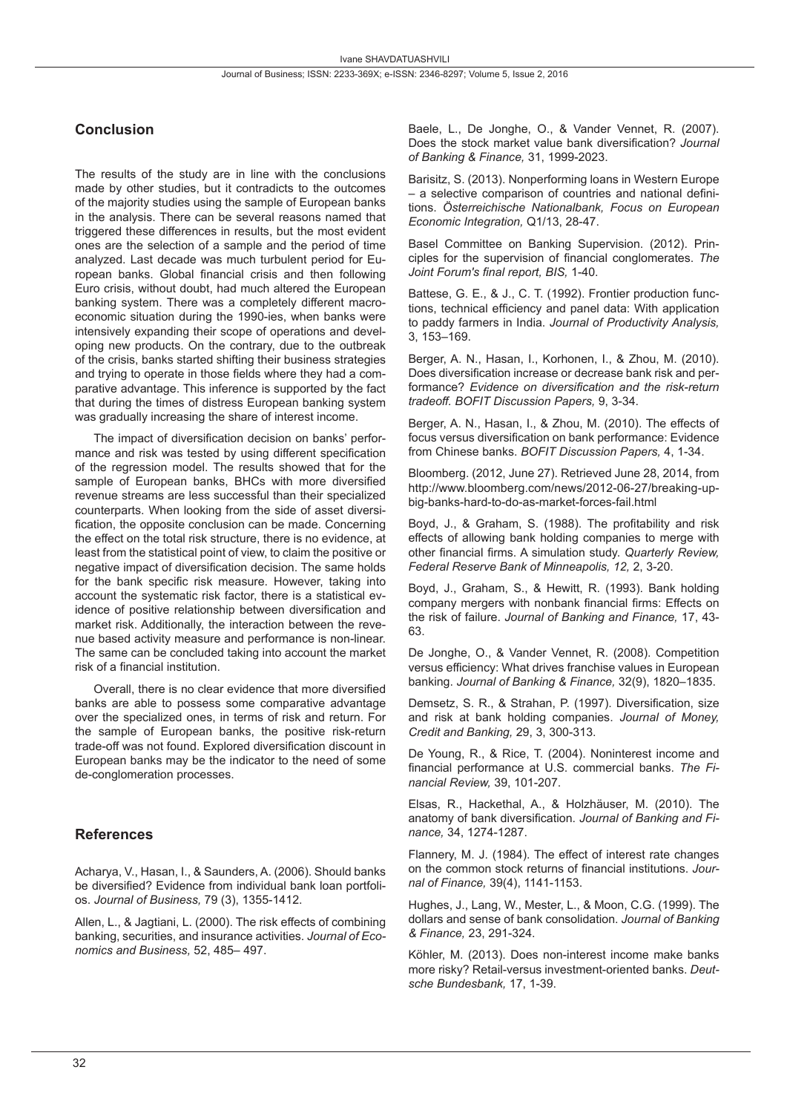# **Conclusion**

The results of the study are in line with the conclusions made by other studies, but it contradicts to the outcomes of the majority studies using the sample of European banks in the analysis. There can be several reasons named that triggered these differences in results, but the most evident ones are the selection of a sample and the period of time analyzed. Last decade was much turbulent period for European banks. Global financial crisis and then following Euro crisis, without doubt, had much altered the European banking system. There was a completely different macroeconomic situation during the 1990-ies, when banks were intensively expanding their scope of operations and developing new products. On the contrary, due to the outbreak of the crisis, banks started shifting their business strategies and trying to operate in those fields where they had a comparative advantage. This inference is supported by the fact that during the times of distress European banking system was gradually increasing the share of interest income.

The impact of diversification decision on banks' performance and risk was tested by using different specification of the regression model. The results showed that for the sample of European banks, BHCs with more diversified revenue streams are less successful than their specialized counterparts. When looking from the side of asset diversification, the opposite conclusion can be made. Concerning the effect on the total risk structure, there is no evidence, at least from the statistical point of view, to claim the positive or negative impact of diversification decision. The same holds for the bank specific risk measure. However, taking into account the systematic risk factor, there is a statistical evidence of positive relationship between diversification and market risk. Additionally, the interaction between the revenue based activity measure and performance is non-linear. The same can be concluded taking into account the market risk of a financial institution.

Overall, there is no clear evidence that more diversified banks are able to possess some comparative advantage over the specialized ones, in terms of risk and return. For the sample of European banks, the positive risk-return trade-off was not found. Explored diversification discount in European banks may be the indicator to the need of some de-conglomeration processes.

#### **References**

Acharya, V., Hasan, I., & Saunders, A. (2006). Should banks be diversified? Evidence from individual bank loan portfolios. *Journal of Business,* 79 (3), 1355-1412.

Allen, L., & Jagtiani, L. (2000). The risk effects of combining banking, securities, and insurance activities. *Journal of Economics and Business,* 52, 485– 497.

Baele, L., De Jonghe, O., & Vander Vennet, R. (2007). Does the stock market value bank diversification? *Journal of Banking & Finance,* 31, 1999-2023.

Barisitz, S. (2013). Nonperforming loans in Western Europe – a selective comparison of countries and national definitions. *Österreichische Nationalbank, Focus on European Economic Integration,* Q1/13, 28-47.

Basel Committee on Banking Supervision. (2012). Principles for the supervision of financial conglomerates. *The Joint Forum's final report, BIS,* 1-40.

Battese, G. E., & J., C. T. (1992). Frontier production functions, technical efficiency and panel data: With application to paddy farmers in India. *Journal of Productivity Analysis,*  3, 153–169.

Berger, A. N., Hasan, I., Korhonen, I., & Zhou, M. (2010). Does diversification increase or decrease bank risk and performance? *Evidence on diversification and the risk-return tradeoff. BOFIT Discussion Papers,* 9, 3-34.

Berger, A. N., Hasan, I., & Zhou, M. (2010). The effects of focus versus diversification on bank performance: Evidence from Chinese banks. *BOFIT Discussion Papers,* 4, 1-34.

Bloomberg. (2012, June 27). Retrieved June 28, 2014, from http://www.bloomberg.com/news/2012-06-27/breaking-upbig-banks-hard-to-do-as-market-forces-fail.html

Boyd, J., & Graham, S. (1988). The profitability and risk effects of allowing bank holding companies to merge with other financial firms. A simulation study. *Quarterly Review, Federal Reserve Bank of Minneapolis, 12,* 2, 3-20.

Boyd, J., Graham, S., & Hewitt, R. (1993). Bank holding company mergers with nonbank financial firms: Effects on the risk of failure. *Journal of Banking and Finance,* 17, 43- 63.

De Jonghe, O., & Vander Vennet, R. (2008). Competition versus efficiency: What drives franchise values in European banking. *Journal of Banking & Finance,* 32(9), 1820–1835.

Demsetz, S. R., & Strahan, P. (1997). Diversification, size and risk at bank holding companies. *Journal of Money, Credit and Banking,* 29, 3, 300-313.

De Young, R., & Rice, T. (2004). Noninterest income and financial performance at U.S. commercial banks. *The Financial Review,* 39, 101-207.

Elsas, R., Hackethal, A., & Holzhäuser, M. (2010). The anatomy of bank diversification. *Journal of Banking and Finance,* 34, 1274-1287.

Flannery, M. J. (1984). The effect of interest rate changes on the common stock returns of financial institutions. *Journal of Finance,* 39(4), 1141-1153.

Hughes, J., Lang, W., Mester, L., & Moon, C.G. (1999). The dollars and sense of bank consolidation. *Journal of Banking & Finance,* 23, 291-324.

Köhler, M. (2013). Does non-interest income make banks more risky? Retail-versus investment-oriented banks. *Deutsche Bundesbank,* 17, 1-39.